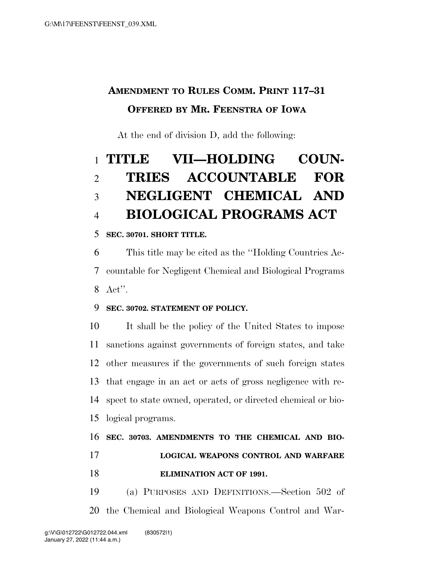### **AMENDMENT TO RULES COMM. PRINT 117–31 OFFERED BY MR. FEENSTRA OF IOWA**

At the end of division D, add the following:

# **TITLE VII—HOLDING COUN- TRIES ACCOUNTABLE FOR NEGLIGENT CHEMICAL AND BIOLOGICAL PROGRAMS ACT**

### **SEC. 30701. SHORT TITLE.**

 This title may be cited as the ''Holding Countries Ac- countable for Negligent Chemical and Biological Programs Act''.

#### **SEC. 30702. STATEMENT OF POLICY.**

 It shall be the policy of the United States to impose sanctions against governments of foreign states, and take other measures if the governments of such foreign states that engage in an act or acts of gross negligence with re- spect to state owned, operated, or directed chemical or bio-logical programs.

## **SEC. 30703. AMENDMENTS TO THE CHEMICAL AND BIO- LOGICAL WEAPONS CONTROL AND WARFARE ELIMINATION ACT OF 1991.**

 (a) PURPOSES AND DEFINITIONS.—Section 502 of the Chemical and Biological Weapons Control and War-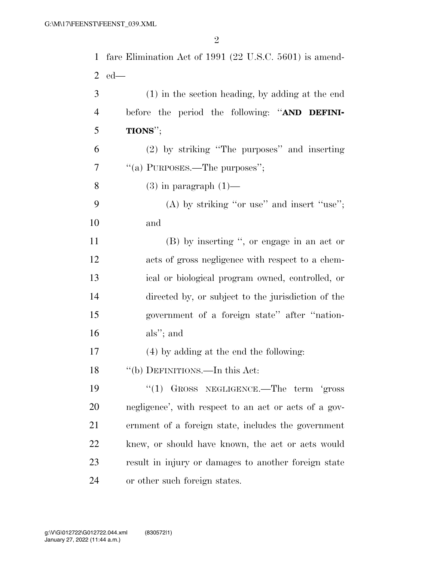fare Elimination Act of 1991 (22 U.S.C. 5601) is amend- ed— (1) in the section heading, by adding at the end before the period the following: ''**AND DEFINI- TIONS**''; (2) by striking ''The purposes'' and inserting 7 "(a) PURPOSES.—The purposes": 8 (3) in paragraph  $(1)$ — (A) by striking ''or use'' and insert ''use''; and (B) by inserting '', or engage in an act or acts of gross negligence with respect to a chem- ical or biological program owned, controlled, or directed by, or subject to the jurisdiction of the government of a foreign state'' after ''nation- als''; and (4) by adding at the end the following: ''(b) DEFINITIONS.—In this Act: 19 "(1) GROSS NEGLIGENCE.—The term 'gross negligence', with respect to an act or acts of a gov- ernment of a foreign state, includes the government knew, or should have known, the act or acts would result in injury or damages to another foreign state or other such foreign states.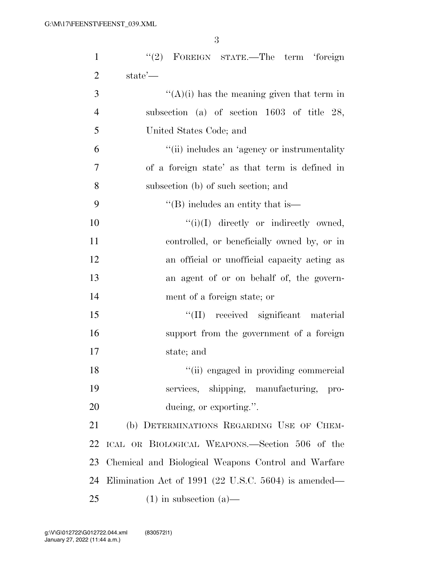| $\mathbf{1}$   | "(2) FOREIGN STATE.—The term 'foreign                |
|----------------|------------------------------------------------------|
| $\overline{2}$ | state'—                                              |
| 3              | $\lq\lq$ (A)(i) has the meaning given that term in   |
| $\overline{4}$ | subsection (a) of section $1603$ of title 28,        |
| 5              | United States Code; and                              |
| 6              | "(ii) includes an 'agency or instrumentality         |
| $\tau$         | of a foreign state' as that term is defined in       |
| 8              | subsection (b) of such section; and                  |
| 9              | $\lq\lq$ (B) includes an entity that is—             |
| 10             | $``(i)(I)$ directly or indirectly owned,             |
| 11             | controlled, or beneficially owned by, or in          |
| 12             | an official or unofficial capacity acting as         |
| 13             | an agent of or on behalf of, the govern-             |
| 14             | ment of a foreign state; or                          |
| 15             | "(II) received significant material                  |
| 16             | support from the government of a foreign             |
| 17             | state; and                                           |
| 18             | "(ii) engaged in providing commercial                |
| 19             | services, shipping, manufacturing, pro-              |
| 20             | ducing, or exporting.".                              |
| 21             | (b) DETERMINATIONS REGARDING USE OF CHEM-            |
| 22             | ICAL OR BIOLOGICAL WEAPONS.—Section 506 of the       |
| 23             | Chemical and Biological Weapons Control and Warfare  |
| 24             | Elimination Act of 1991 (22 U.S.C. 5604) is amended— |
| 25             | $(1)$ in subsection $(a)$ —                          |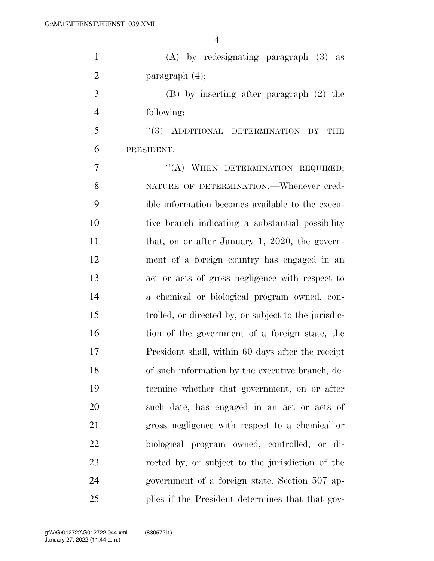| $\mathbf{1}$   | $(A)$ by redesignating paragraph $(3)$ as            |
|----------------|------------------------------------------------------|
| $\overline{2}$ | paragraph $(4)$ ;                                    |
| 3              | $(B)$ by inserting after paragraph $(2)$ the         |
| $\overline{4}$ | following:                                           |
| 5              | "(3) ADDITIONAL DETERMINATION<br>BY<br>THE           |
| 6              | PRESIDENT.                                           |
| $\overline{7}$ | "(A) WHEN DETERMINATION REQUIRED;                    |
| 8              | NATURE OF DETERMINATION. - Whenever cred-            |
| 9              | ible information becomes available to the execu-     |
| 10             | tive branch indicating a substantial possibility     |
| 11             | that, on or after January 1, 2020, the govern-       |
| 12             | ment of a foreign country has engaged in an          |
| 13             | act or acts of gross negligence with respect to      |
| 14             | a chemical or biological program owned, con-         |
| 15             | trolled, or directed by, or subject to the jurisdic- |
| 16             | tion of the government of a foreign state, the       |
| 17             | President shall, within 60 days after the receipt    |
| 18             | of such information by the executive branch, de-     |
| 19             | termine whether that government, on or after         |
| 20             | such date, has engaged in an act or acts of          |
| 21             | gross negligence with respect to a chemical or       |
| 22             | biological program owned, controlled, or di-         |
| 23             | rected by, or subject to the jurisdiction of the     |
| 24             | government of a foreign state. Section 507 ap-       |
| 25             | plies if the President determines that that gov-     |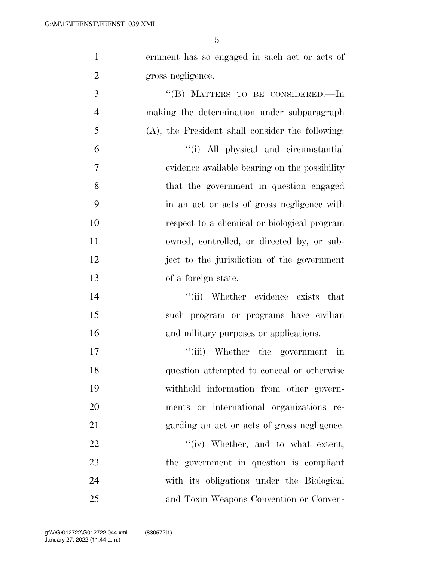| $\mathbf{1}$   | ernment has so engaged in such act or acts of       |
|----------------|-----------------------------------------------------|
| $\overline{2}$ | gross negligence.                                   |
| 3              | "(B) MATTERS TO BE CONSIDERED.—In                   |
| $\overline{4}$ | making the determination under subparagraph         |
| $\mathfrak{S}$ | $(A)$ , the President shall consider the following: |
| 6              | "(i) All physical and circumstantial                |
| $\tau$         | evidence available bearing on the possibility       |
| 8              | that the government in question engaged             |
| 9              | in an act or acts of gross negligence with          |
| 10             | respect to a chemical or biological program         |
| 11             | owned, controlled, or directed by, or sub-          |
| 12             | ject to the jurisdiction of the government          |
| 13             | of a foreign state.                                 |
| 14             | "(ii) Whether evidence exists that                  |
| 15             | such program or programs have civilian              |
| 16             | and military purposes or applications.              |
| 17             | "(iii) Whether the government in                    |
| 18             | question attempted to conceal or otherwise          |
| 19             | withhold information from other govern-             |
| 20             | ments or international organizations re-            |
| 21             | garding an act or acts of gross negligence.         |
| 22             | $``(iv)$ Whether, and to what extent,               |
| 23             | the government in question is compliant             |
| 24             | with its obligations under the Biological           |
| 25             | and Toxin Weapons Convention or Conven-             |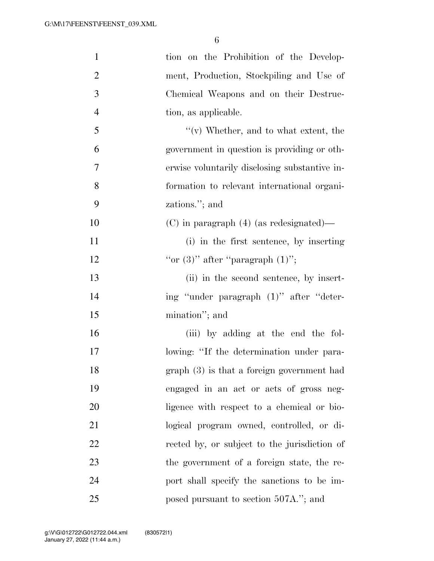| $\mathbf{1}$   | tion on the Prohibition of the Develop-       |
|----------------|-----------------------------------------------|
| $\overline{2}$ | ment, Production, Stockpiling and Use of      |
| 3              | Chemical Weapons and on their Destruc-        |
| $\overline{4}$ | tion, as applicable.                          |
| 5              | $f'(v)$ Whether, and to what extent, the      |
| 6              | government in question is providing or oth-   |
| 7              | erwise voluntarily disclosing substantive in- |
| 8              | formation to relevant international organi-   |
| 9              | zations."; and                                |
| 10             | $(C)$ in paragraph $(4)$ (as redesignated)—   |
| 11             | (i) in the first sentence, by inserting       |
| 12             | "or $(3)$ " after "paragraph $(1)$ ";         |
| 13             | (ii) in the second sentence, by insert-       |
| 14             | ing "under paragraph (1)" after "deter-       |
| 15             | mination"; and                                |
| 16             | (iii) by adding at the end the fol-           |
| 17             | lowing: "If the determination under para-     |
| 18             | $graph(3)$ is that a foreign government had   |
| 19             | engaged in an act or acts of gross neg-       |
| 20             | ligence with respect to a chemical or bio-    |
| 21             | logical program owned, controlled, or di-     |
| 22             | rected by, or subject to the jurisdiction of  |
| 23             | the government of a foreign state, the re-    |
| 24             | port shall specify the sanctions to be im-    |
| 25             | posed pursuant to section 507A."; and         |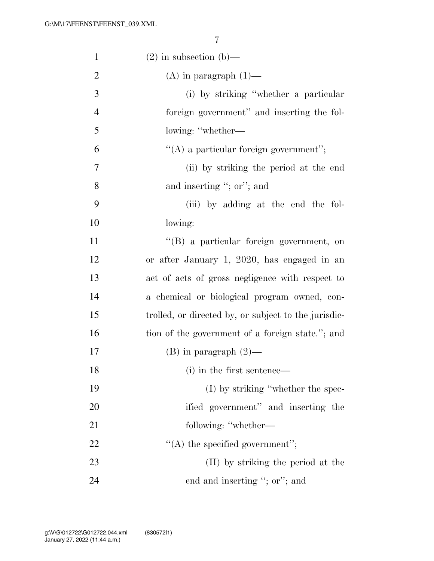| $\mathbf{1}$   | $(2)$ in subsection $(b)$ —                          |
|----------------|------------------------------------------------------|
| $\overline{2}$ | $(A)$ in paragraph $(1)$ —                           |
| 3              | (i) by striking "whether a particular                |
| $\overline{4}$ | foreign government" and inserting the fol-           |
| 5              | lowing: "whether—                                    |
| 6              | $\lq\lq$ a particular foreign government";           |
| 7              | (ii) by striking the period at the end               |
| 8              | and inserting "; or"; and                            |
| 9              | (iii) by adding at the end the fol-                  |
| 10             | lowing:                                              |
| 11             | "(B) a particular foreign government, on             |
| 12             | or after January 1, 2020, has engaged in an          |
| 13             | act of acts of gross negligence with respect to      |
| 14             | a chemical or biological program owned, con-         |
| 15             | trolled, or directed by, or subject to the jurisdic- |
| 16             | tion of the government of a foreign state."; and     |
| 17             | $(B)$ in paragraph $(2)$ —                           |
| 18             | (i) in the first sentence—                           |
| 19             | $(I)$ by striking "whether the spec-                 |
| 20             | ified government" and inserting the                  |
| 21             | following: "whether-                                 |
| 22             | $\lq\lq$ the specified government";                  |
| 23             | (II) by striking the period at the                   |
| 24             | end and inserting "; or"; and                        |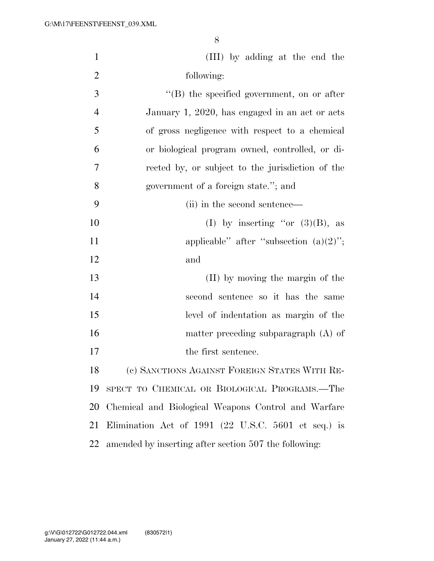| $\mathbf{1}$   | (III) by adding at the end the                        |
|----------------|-------------------------------------------------------|
| $\overline{2}$ | following:                                            |
| 3              | $\lq\lq (B)$ the specified government, on or after    |
| $\overline{4}$ | January 1, 2020, has engaged in an act or acts        |
| 5              | of gross negligence with respect to a chemical        |
| 6              | or biological program owned, controlled, or di-       |
| 7              | rected by, or subject to the jurisdiction of the      |
| 8              | government of a foreign state."; and                  |
| 9              | (ii) in the second sentence—                          |
| 10             | (I) by inserting "or $(3)(B)$ , as                    |
| 11             | applicable" after "subsection $(a)(2)$ ";             |
| 12             | and                                                   |
| 13             | (II) by moving the margin of the                      |
| 14             | second sentence so it has the same                    |
| 15             | level of indentation as margin of the                 |
| 16             | matter preceding subparagraph $(A)$ of                |
| 17             | the first sentence.                                   |
| 18             | (c) SANCTIONS AGAINST FOREIGN STATES WITH RE-         |
| 19             | SPECT TO CHEMICAL OR BIOLOGICAL PROGRAMS.-The         |
| 20             | Chemical and Biological Weapons Control and Warfare   |
| 21             | Elimination Act of 1991 (22 U.S.C. 5601 et seq.) is   |
| 22             | amended by inserting after section 507 the following: |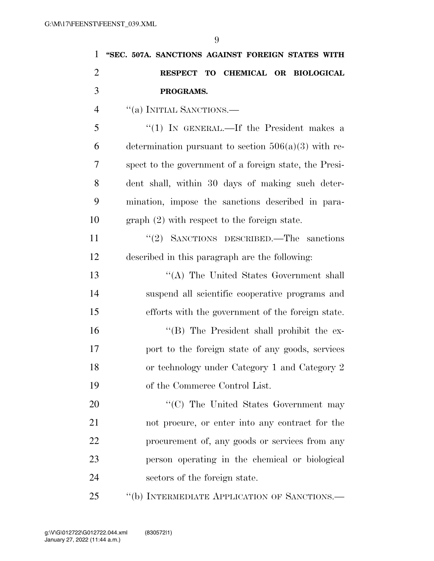| $\mathbf{1}$   | "SEC. 507A. SANCTIONS AGAINST FOREIGN STATES WITH      |
|----------------|--------------------------------------------------------|
| $\overline{2}$ | RESPECT TO CHEMICAL OR BIOLOGICAL                      |
| 3              | PROGRAMS.                                              |
| $\overline{4}$ | $``(a)$ INITIAL SANCTIONS.—                            |
| 5              | "(1) IN GENERAL.—If the President makes a              |
| 6              | determination pursuant to section $506(a)(3)$ with re- |
| 7              | spect to the government of a foreign state, the Presi- |
| 8              | dent shall, within 30 days of making such deter-       |
| 9              | mination, impose the sanctions described in para-      |
| 10             | $graph (2) with respect to the foreign state.$         |
| 11             | "(2) SANCTIONS DESCRIBED.—The sanctions                |
| 12             | described in this paragraph are the following:         |
| 13             | "(A) The United States Government shall                |
| 14             | suspend all scientific cooperative programs and        |
| 15             | efforts with the government of the foreign state.      |
| 16             | "(B) The President shall prohibit the ex-              |
| 17             | port to the foreign state of any goods, services       |
| 18             | or technology under Category 1 and Category 2          |
| 19             | of the Commerce Control List.                          |
| 20             | "(C) The United States Government may                  |
| 21             | not procure, or enter into any contract for the        |
| 22             | procurement of, any goods or services from any         |
| 23             | person operating in the chemical or biological         |
| 24             | sectors of the foreign state.                          |
| 25             | "(b) INTERMEDIATE APPLICATION OF SANCTIONS.-           |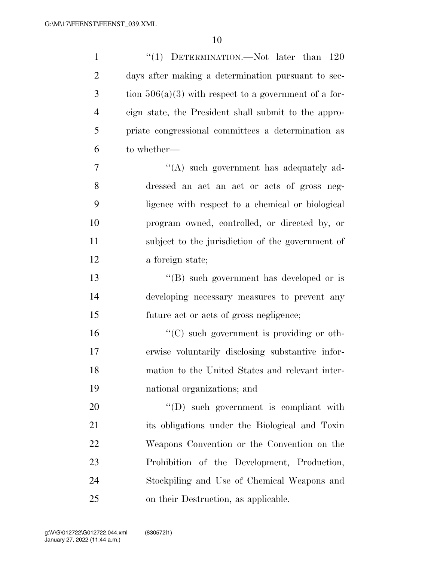| $\mathbf{1}$   | "(1) DETERMINATION.—Not later than $120$                |
|----------------|---------------------------------------------------------|
| $\overline{2}$ | days after making a determination pursuant to sec-      |
| 3              | tion $506(a)(3)$ with respect to a government of a for- |
| $\overline{4}$ | eign state, the President shall submit to the appro-    |
| 5              | priate congressional committees a determination as      |
| 6              | to whether—                                             |
| 7              | "(A) such government has adequately ad-                 |
| 8              | dressed an act an act or acts of gross neg-             |
| 9              | ligence with respect to a chemical or biological        |
| 10             | program owned, controlled, or directed by, or           |
| 11             | subject to the jurisdiction of the government of        |
| 12             | a foreign state;                                        |
| 13             | $\lq\lq (B)$ such government has developed or is        |
| 14             | developing necessary measures to prevent any            |
| 15             | future act or acts of gross negligence;                 |
| 16             | $\lq\lq$ such government is providing or oth-           |
| 17             | erwise voluntarily disclosing substantive infor-        |
| 18             | mation to the United States and relevant inter-         |
| 19             | national organizations; and                             |
| 20             | "(D) such government is compliant with                  |
| 21             | its obligations under the Biological and Toxin          |
| 22             | Weapons Convention or the Convention on the             |
| 23             | Prohibition of the Development, Production,             |
| 24             | Stockpiling and Use of Chemical Weapons and             |
| 25             | on their Destruction, as applicable.                    |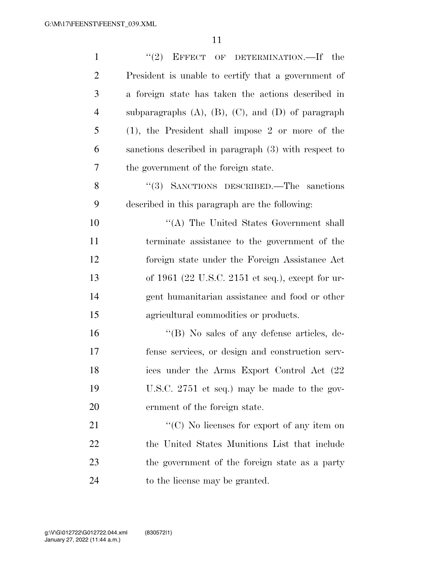| $\mathbf{1}$   | "(2) EFFECT OF DETERMINATION.—If the                         |
|----------------|--------------------------------------------------------------|
| $\overline{2}$ | President is unable to certify that a government of          |
| 3              | a foreign state has taken the actions described in           |
| $\overline{4}$ | subparagraphs $(A)$ , $(B)$ , $(C)$ , and $(D)$ of paragraph |
| 5              | $(1)$ , the President shall impose 2 or more of the          |
| 6              | sanctions described in paragraph (3) with respect to         |
| $\tau$         | the government of the foreign state.                         |
| 8              | "(3) SANCTIONS DESCRIBED.—The sanctions                      |
| 9              | described in this paragraph are the following:               |
| 10             | "(A) The United States Government shall                      |
| 11             | terminate assistance to the government of the                |
| 12             | foreign state under the Foreign Assistance Act               |
| 13             | of 1961 (22 U.S.C. 2151 et seq.), except for ur-             |
| 14             | gent humanitarian assistance and food or other               |
| 15             | agricultural commodities or products.                        |
| 16             | "(B) No sales of any defense articles, de-                   |
| 17             | fense services, or design and construction serv-             |
| 18             | ices under the Arms Export Control Act (22                   |
| 19             | U.S.C. 2751 et seq.) may be made to the gov-                 |
| 20             | ernment of the foreign state.                                |
| 21             | "(C) No licenses for export of any item on                   |
| 22             | the United States Munitions List that include                |
| 23             | the government of the foreign state as a party               |
| 24             | to the license may be granted.                               |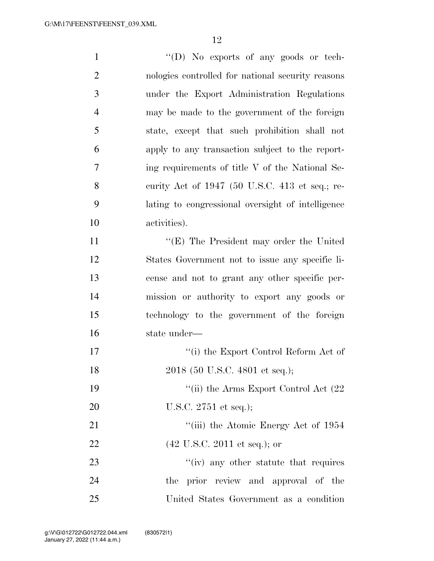| $\mathbf{1}$   | "(D) No exports of any goods or tech-             |
|----------------|---------------------------------------------------|
| $\overline{2}$ | nologies controlled for national security reasons |
| 3              | under the Export Administration Regulations       |
| $\overline{4}$ | may be made to the government of the foreign      |
| 5              | state, except that such prohibition shall not     |
| 6              | apply to any transaction subject to the report-   |
| 7              | ing requirements of title V of the National Se-   |
| 8              | curity Act of 1947 (50 U.S.C. 413 et seq.; re-    |
| 9              | lating to congressional oversight of intelligence |
| 10             | activities).                                      |
| 11             | $\lq\lq$ (E) The President may order the United   |
| 12             | States Government not to issue any specific li-   |
| 13             | cense and not to grant any other specific per-    |
| 14             | mission or authority to export any goods or       |
| 15             | technology to the government of the foreign       |
| 16             | state under-                                      |
| 17             | $``(i)$ the Export Control Reform Act of          |
| 18             | 2018 (50 U.S.C. 4801 et seq.);                    |
| 19             | "(ii) the Arms Export Control Act $(22)$          |
| 20             | U.S.C. $2751$ et seq.);                           |
| 21             | "(iii) the Atomic Energy Act of 1954              |
| 22             | $(42 \text{ U.S.C. } 2011 \text{ et seq.});$ or   |
| 23             | $\lq\lq$ (iv) any other statute that requires     |
| 24             | the prior review and approval of the              |
| 25             | United States Government as a condition           |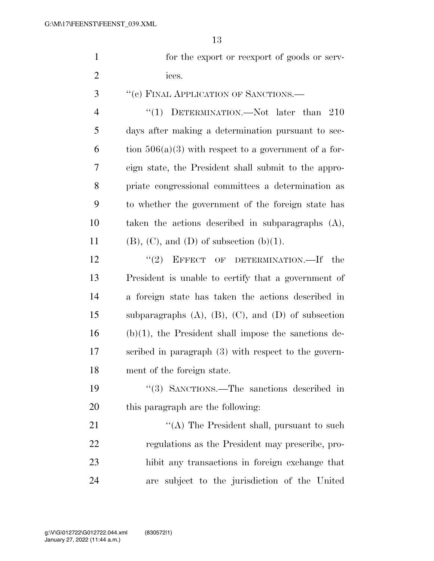| for the export or reexport of goods or serv- |
|----------------------------------------------|
| ices.                                        |

''(c) FINAL APPLICATION OF SANCTIONS.—

4 "(1) DETERMINATION.—Not later than 210 days after making a determination pursuant to sec-6 tion  $506(a)(3)$  with respect to a government of a for- eign state, the President shall submit to the appro- priate congressional committees a determination as to whether the government of the foreign state has taken the actions described in subparagraphs (A), 11 (B), (C), and (D) of subsection  $(b)(1)$ .

12 "(2) EFFECT OF DETERMINATION.—If the President is unable to certify that a government of a foreign state has taken the actions described in subparagraphs (A), (B), (C), and (D) of subsection (b)(1), the President shall impose the sanctions de- scribed in paragraph (3) with respect to the govern-ment of the foreign state.

 ''(3) SANCTIONS.—The sanctions described in this paragraph are the following:

21 ''(A) The President shall, pursuant to such regulations as the President may prescribe, pro- hibit any transactions in foreign exchange that are subject to the jurisdiction of the United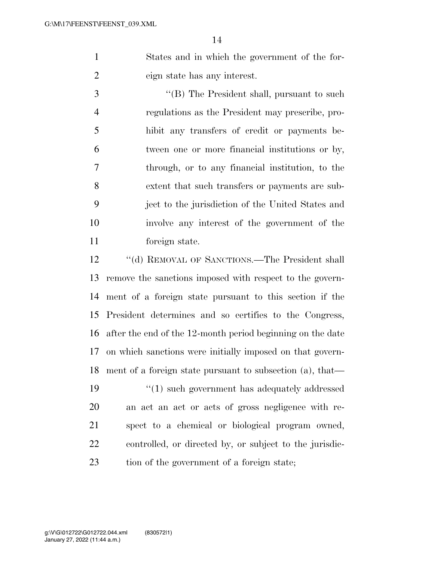States and in which the government of the for-eign state has any interest.

 ''(B) The President shall, pursuant to such regulations as the President may prescribe, pro- hibit any transfers of credit or payments be- tween one or more financial institutions or by, through, or to any financial institution, to the extent that such transfers or payments are sub- ject to the jurisdiction of the United States and involve any interest of the government of the foreign state.

12 ""(d) REMOVAL OF SANCTIONS.—The President shall remove the sanctions imposed with respect to the govern- ment of a foreign state pursuant to this section if the President determines and so certifies to the Congress, after the end of the 12-month period beginning on the date on which sanctions were initially imposed on that govern- ment of a foreign state pursuant to subsection (a), that— ''(1) such government has adequately addressed an act an act or acts of gross negligence with re-

 spect to a chemical or biological program owned, controlled, or directed by, or subject to the jurisdic-23 tion of the government of a foreign state;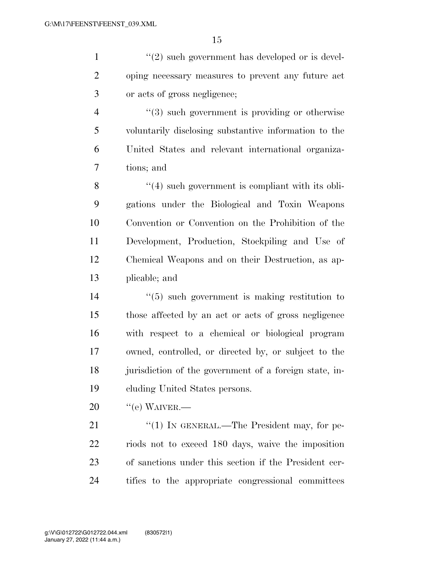$\frac{1}{2}$  ''(2) such government has developed or is devel- oping necessary measures to prevent any future act or acts of gross negligence;

 $(3)$  such government is providing or otherwise voluntarily disclosing substantive information to the United States and relevant international organiza-tions; and

 ''(4) such government is compliant with its obli- gations under the Biological and Toxin Weapons Convention or Convention on the Prohibition of the Development, Production, Stockpiling and Use of Chemical Weapons and on their Destruction, as ap-plicable; and

 ''(5) such government is making restitution to those affected by an act or acts of gross negligence with respect to a chemical or biological program owned, controlled, or directed by, or subject to the jurisdiction of the government of a foreign state, in-cluding United States persons.

 $20 \qquad$  "(e) WAIVER.—

21 "(1) IN GENERAL.—The President may, for pe- riods not to exceed 180 days, waive the imposition of sanctions under this section if the President cer-tifies to the appropriate congressional committees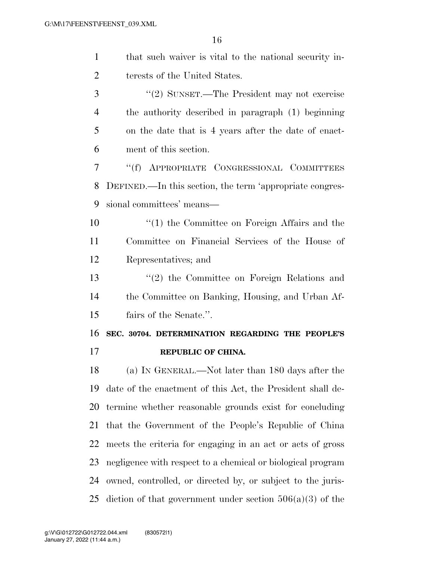| $\mathbf{1}$   | that such waiver is vital to the national security in-      |
|----------------|-------------------------------------------------------------|
| $\overline{2}$ | terests of the United States.                               |
| 3              | "(2) SUNSET.—The President may not exercise                 |
| 4              | the authority described in paragraph (1) beginning          |
| 5              | on the date that is 4 years after the date of enact-        |
| 6              | ment of this section.                                       |
| 7              | "(f) APPROPRIATE CONGRESSIONAL COMMITTEES                   |
| 8              | DEFINED.—In this section, the term 'appropriate congres-    |
| 9              | sional committees' means—                                   |
| 10             | $\lq(1)$ the Committee on Foreign Affairs and the           |
| 11             | Committee on Financial Services of the House of             |
| 12             | Representatives; and                                        |
| 13             | $\lq(2)$ the Committee on Foreign Relations and             |
| 14             | the Committee on Banking, Housing, and Urban Af-            |
| 15             | fairs of the Senate.".                                      |
| 16             | SEC. 30704. DETERMINATION REGARDING THE PEOPLE'S            |
| 17             | REPUBLIC OF CHINA.                                          |
| 18             | (a) IN GENERAL.—Not later than 180 days after the           |
| 19             | date of the enactment of this Act, the President shall de-  |
| 20             | termine whether reasonable grounds exist for concluding     |
| 21             | that the Government of the People's Republic of China       |
| 22             | meets the criteria for engaging in an act or acts of gross  |
| 23             | negligence with respect to a chemical or biological program |
| 24             | owned, controlled, or directed by, or subject to the juris- |
| 25             | diction of that government under section $506(a)(3)$ of the |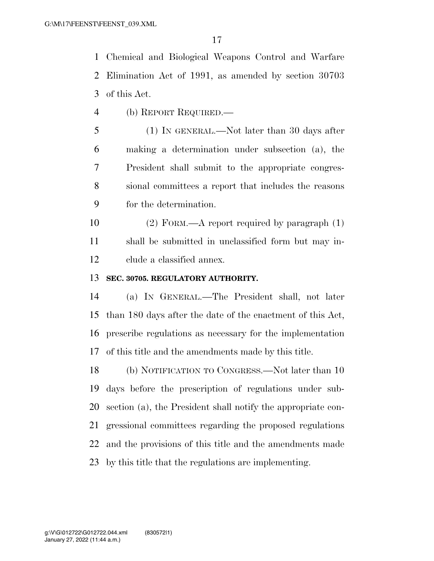Chemical and Biological Weapons Control and Warfare Elimination Act of 1991, as amended by section 30703 of this Act.

(b) REPORT REQUIRED.—

 (1) IN GENERAL.—Not later than 30 days after making a determination under subsection (a), the President shall submit to the appropriate congres- sional committees a report that includes the reasons for the determination.

 (2) FORM.—A report required by paragraph (1) shall be submitted in unclassified form but may in-clude a classified annex.

#### **SEC. 30705. REGULATORY AUTHORITY.**

 (a) IN GENERAL.—The President shall, not later than 180 days after the date of the enactment of this Act, prescribe regulations as necessary for the implementation of this title and the amendments made by this title.

 (b) NOTIFICATION TO CONGRESS.—Not later than 10 days before the prescription of regulations under sub- section (a), the President shall notify the appropriate con- gressional committees regarding the proposed regulations and the provisions of this title and the amendments made by this title that the regulations are implementing.